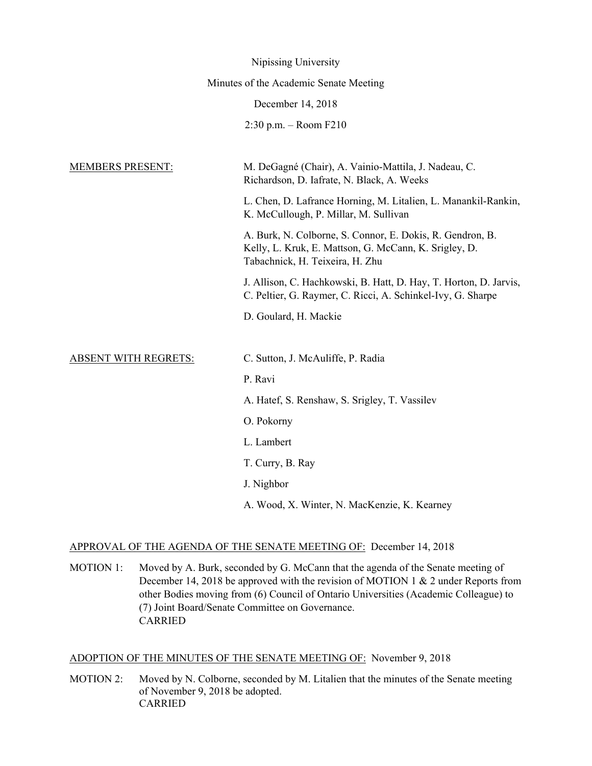|                             | Nipissing University                                                                                                                                  |
|-----------------------------|-------------------------------------------------------------------------------------------------------------------------------------------------------|
|                             | Minutes of the Academic Senate Meeting                                                                                                                |
|                             | December 14, 2018                                                                                                                                     |
|                             | $2:30$ p.m. – Room $F210$                                                                                                                             |
| <b>MEMBERS PRESENT:</b>     | M. DeGagné (Chair), A. Vainio-Mattila, J. Nadeau, C.<br>Richardson, D. Iafrate, N. Black, A. Weeks                                                    |
|                             | L. Chen, D. Lafrance Horning, M. Litalien, L. Manankil-Rankin,<br>K. McCullough, P. Millar, M. Sullivan                                               |
|                             | A. Burk, N. Colborne, S. Connor, E. Dokis, R. Gendron, B.<br>Kelly, L. Kruk, E. Mattson, G. McCann, K. Srigley, D.<br>Tabachnick, H. Teixeira, H. Zhu |
|                             | J. Allison, C. Hachkowski, B. Hatt, D. Hay, T. Horton, D. Jarvis,<br>C. Peltier, G. Raymer, C. Ricci, A. Schinkel-Ivy, G. Sharpe                      |
|                             | D. Goulard, H. Mackie                                                                                                                                 |
| <b>ABSENT WITH REGRETS:</b> | C. Sutton, J. McAuliffe, P. Radia                                                                                                                     |
|                             | P. Ravi                                                                                                                                               |
|                             | A. Hatef, S. Renshaw, S. Srigley, T. Vassilev                                                                                                         |
|                             | O. Pokorny                                                                                                                                            |
|                             | L. Lambert                                                                                                                                            |
|                             | T. Curry, B. Ray                                                                                                                                      |
|                             | J. Nighbor                                                                                                                                            |
|                             | A. Wood, X. Winter, N. MacKenzie, K. Kearney                                                                                                          |

### APPROVAL OF THE AGENDA OF THE SENATE MEETING OF: December 14, 2018

MOTION 1: Moved by A. Burk, seconded by G. McCann that the agenda of the Senate meeting of December 14, 2018 be approved with the revision of MOTION 1 & 2 under Reports from other Bodies moving from (6) Council of Ontario Universities (Academic Colleague) to (7) Joint Board/Senate Committee on Governance. CARRIED

# ADOPTION OF THE MINUTES OF THE SENATE MEETING OF: November 9, 2018

MOTION 2: Moved by N. Colborne, seconded by M. Litalien that the minutes of the Senate meeting of November 9, 2018 be adopted. CARRIED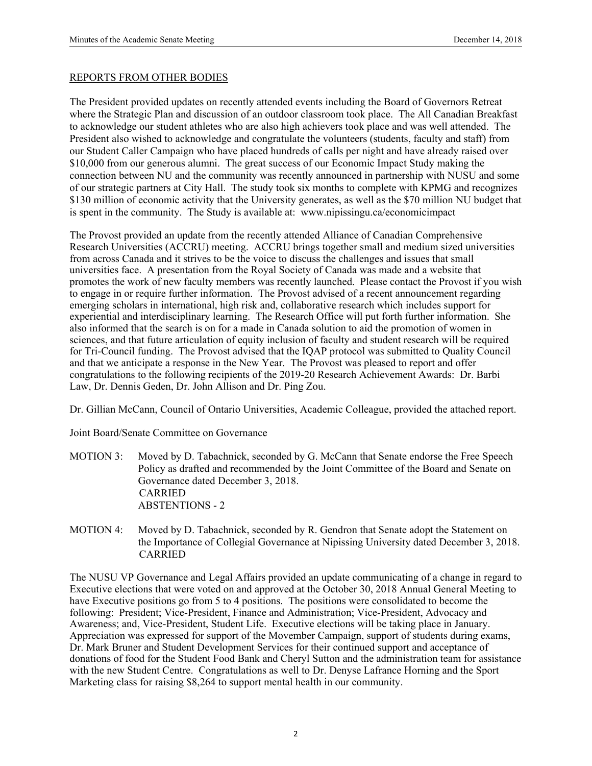#### REPORTS FROM OTHER BODIES

The President provided updates on recently attended events including the Board of Governors Retreat where the Strategic Plan and discussion of an outdoor classroom took place. The All Canadian Breakfast to acknowledge our student athletes who are also high achievers took place and was well attended. The President also wished to acknowledge and congratulate the volunteers (students, faculty and staff) from our Student Caller Campaign who have placed hundreds of calls per night and have already raised over \$10,000 from our generous alumni. The great success of our Economic Impact Study making the connection between NU and the community was recently announced in partnership with NUSU and some of our strategic partners at City Hall. The study took six months to complete with KPMG and recognizes \$130 million of economic activity that the University generates, as well as the \$70 million NU budget that is spent in the community. The Study is available at: www.nipissingu.ca/economicimpact

The Provost provided an update from the recently attended Alliance of Canadian Comprehensive Research Universities (ACCRU) meeting. ACCRU brings together small and medium sized universities from across Canada and it strives to be the voice to discuss the challenges and issues that small universities face. A presentation from the Royal Society of Canada was made and a website that promotes the work of new faculty members was recently launched. Please contact the Provost if you wish to engage in or require further information. The Provost advised of a recent announcement regarding emerging scholars in international, high risk and, collaborative research which includes support for experiential and interdisciplinary learning. The Research Office will put forth further information. She also informed that the search is on for a made in Canada solution to aid the promotion of women in sciences, and that future articulation of equity inclusion of faculty and student research will be required for Tri-Council funding. The Provost advised that the IQAP protocol was submitted to Quality Council and that we anticipate a response in the New Year. The Provost was pleased to report and offer congratulations to the following recipients of the 2019-20 Research Achievement Awards: Dr. Barbi Law, Dr. Dennis Geden, Dr. John Allison and Dr. Ping Zou.

Dr. Gillian McCann, Council of Ontario Universities, Academic Colleague, provided the attached report.

Joint Board/Senate Committee on Governance

- MOTION 3: Moved by D. Tabachnick, seconded by G. McCann that Senate endorse the Free Speech Policy as drafted and recommended by the Joint Committee of the Board and Senate on Governance dated December 3, 2018. CARRIED ABSTENTIONS - 2
- MOTION 4: Moved by D. Tabachnick, seconded by R. Gendron that Senate adopt the Statement on the Importance of Collegial Governance at Nipissing University dated December 3, 2018. CARRIED

The NUSU VP Governance and Legal Affairs provided an update communicating of a change in regard to Executive elections that were voted on and approved at the October 30, 2018 Annual General Meeting to have Executive positions go from 5 to 4 positions. The positions were consolidated to become the following: President; Vice-President, Finance and Administration; Vice-President, Advocacy and Awareness; and, Vice-President, Student Life. Executive elections will be taking place in January. Appreciation was expressed for support of the Movember Campaign, support of students during exams, Dr. Mark Bruner and Student Development Services for their continued support and acceptance of donations of food for the Student Food Bank and Cheryl Sutton and the administration team for assistance with the new Student Centre. Congratulations as well to Dr. Denyse Lafrance Horning and the Sport Marketing class for raising \$8,264 to support mental health in our community.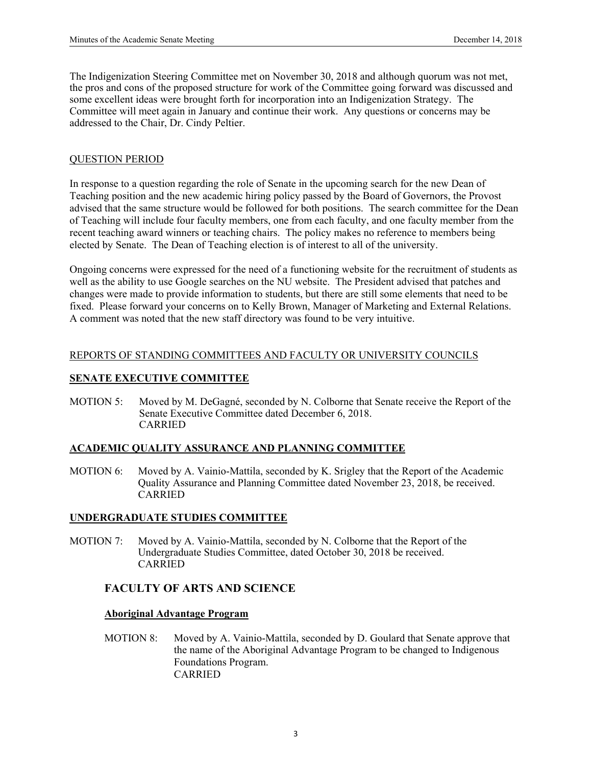The Indigenization Steering Committee met on November 30, 2018 and although quorum was not met, the pros and cons of the proposed structure for work of the Committee going forward was discussed and some excellent ideas were brought forth for incorporation into an Indigenization Strategy. The Committee will meet again in January and continue their work. Any questions or concerns may be addressed to the Chair, Dr. Cindy Peltier.

#### QUESTION PERIOD

In response to a question regarding the role of Senate in the upcoming search for the new Dean of Teaching position and the new academic hiring policy passed by the Board of Governors, the Provost advised that the same structure would be followed for both positions. The search committee for the Dean of Teaching will include four faculty members, one from each faculty, and one faculty member from the recent teaching award winners or teaching chairs. The policy makes no reference to members being elected by Senate. The Dean of Teaching election is of interest to all of the university.

Ongoing concerns were expressed for the need of a functioning website for the recruitment of students as well as the ability to use Google searches on the NU website. The President advised that patches and changes were made to provide information to students, but there are still some elements that need to be fixed. Please forward your concerns on to Kelly Brown, Manager of Marketing and External Relations. A comment was noted that the new staff directory was found to be very intuitive.

#### REPORTS OF STANDING COMMITTEES AND FACULTY OR UNIVERSITY COUNCILS

### **SENATE EXECUTIVE COMMITTEE**

MOTION 5: Moved by M. DeGagné, seconded by N. Colborne that Senate receive the Report of the Senate Executive Committee dated December 6, 2018. CARRIED

#### **ACADEMIC QUALITY ASSURANCE AND PLANNING COMMITTEE**

MOTION 6: Moved by A. Vainio-Mattila, seconded by K. Srigley that the Report of the Academic Quality Assurance and Planning Committee dated November 23, 2018, be received. **CARRIED** 

#### **UNDERGRADUATE STUDIES COMMITTEE**

MOTION 7: Moved by A. Vainio-Mattila, seconded by N. Colborne that the Report of the Undergraduate Studies Committee, dated October 30, 2018 be received. CARRIED

## **FACULTY OF ARTS AND SCIENCE**

#### **Aboriginal Advantage Program**

 MOTION 8: Moved by A. Vainio-Mattila, seconded by D. Goulard that Senate approve that the name of the Aboriginal Advantage Program to be changed to Indigenous Foundations Program. CARRIED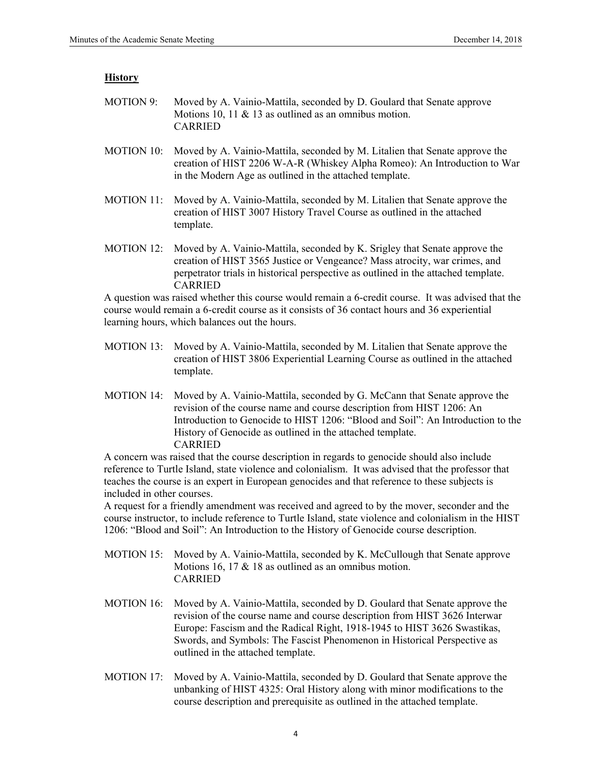#### **History**

| MOTION 9: Moved by A. Vainio-Mattila, seconded by D. Goulard that Senate approve |
|----------------------------------------------------------------------------------|
| Motions 10, 11 & 13 as outlined as an omnibus motion.                            |
| <b>CARRIED</b>                                                                   |

- MOTION 10: Moved by A. Vainio-Mattila, seconded by M. Litalien that Senate approve the creation of HIST 2206 W-A-R (Whiskey Alpha Romeo): An Introduction to War in the Modern Age as outlined in the attached template.
- MOTION 11: Moved by A. Vainio-Mattila, seconded by M. Litalien that Senate approve the creation of HIST 3007 History Travel Course as outlined in the attached template.
- MOTION 12: Moved by A. Vainio-Mattila, seconded by K. Srigley that Senate approve the creation of HIST 3565 Justice or Vengeance? Mass atrocity, war crimes, and perpetrator trials in historical perspective as outlined in the attached template. CARRIED

A question was raised whether this course would remain a 6-credit course. It was advised that the course would remain a 6-credit course as it consists of 36 contact hours and 36 experiential learning hours, which balances out the hours.

- MOTION 13: Moved by A. Vainio-Mattila, seconded by M. Litalien that Senate approve the creation of HIST 3806 Experiential Learning Course as outlined in the attached template.
- MOTION 14: Moved by A. Vainio-Mattila, seconded by G. McCann that Senate approve the revision of the course name and course description from HIST 1206: An Introduction to Genocide to HIST 1206: "Blood and Soil": An Introduction to the History of Genocide as outlined in the attached template. CARRIED

 A concern was raised that the course description in regards to genocide should also include reference to Turtle Island, state violence and colonialism. It was advised that the professor that teaches the course is an expert in European genocides and that reference to these subjects is included in other courses.

 A request for a friendly amendment was received and agreed to by the mover, seconder and the course instructor, to include reference to Turtle Island, state violence and colonialism in the HIST 1206: "Blood and Soil": An Introduction to the History of Genocide course description.

- MOTION 15: Moved by A. Vainio-Mattila, seconded by K. McCullough that Senate approve Motions 16, 17 & 18 as outlined as an omnibus motion. CARRIED
- MOTION 16: Moved by A. Vainio-Mattila, seconded by D. Goulard that Senate approve the revision of the course name and course description from HIST 3626 Interwar Europe: Fascism and the Radical Right, 1918-1945 to HIST 3626 Swastikas, Swords, and Symbols: The Fascist Phenomenon in Historical Perspective as outlined in the attached template.
- MOTION 17: Moved by A. Vainio-Mattila, seconded by D. Goulard that Senate approve the unbanking of HIST 4325: Oral History along with minor modifications to the course description and prerequisite as outlined in the attached template.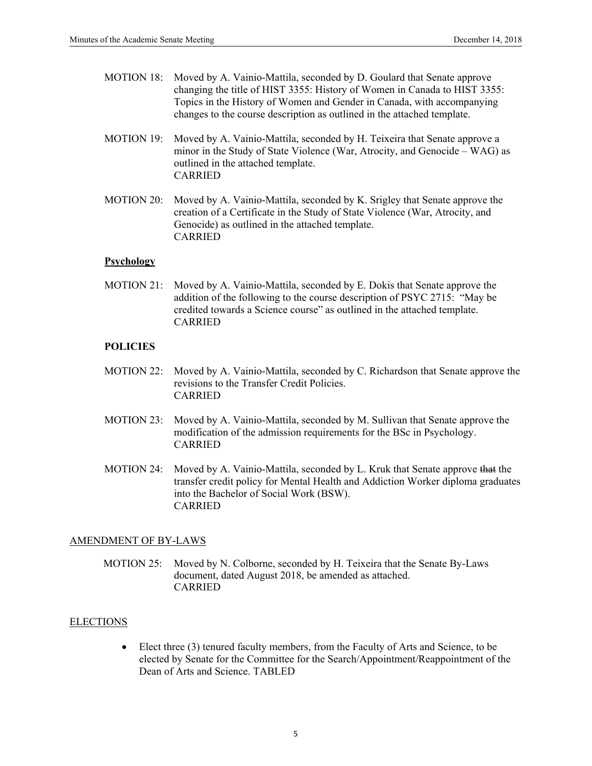| MOTION 18: | Moved by A. Vainio-Mattila, seconded by D. Goulard that Senate approve<br>changing the title of HIST 3355: History of Women in Canada to HIST 3355:<br>Topics in the History of Women and Gender in Canada, with accompanying<br>changes to the course description as outlined in the attached template. |
|------------|----------------------------------------------------------------------------------------------------------------------------------------------------------------------------------------------------------------------------------------------------------------------------------------------------------|
| MOTION 19: | Moved by A. Vainio-Mattila, seconded by H. Teixeira that Senate approve a<br>minor in the Study of State Violence (War, Atrocity, and Genocide – WAG) as<br>outlined in the attached template.                                                                                                           |

CARRIED

 MOTION 20: Moved by A. Vainio-Mattila, seconded by K. Srigley that Senate approve the creation of a Certificate in the Study of State Violence (War, Atrocity, and Genocide) as outlined in the attached template. CARRIED

#### **Psychology**

 MOTION 21: Moved by A. Vainio-Mattila, seconded by E. Dokis that Senate approve the addition of the following to the course description of PSYC 2715: "May be credited towards a Science course" as outlined in the attached template. CARRIED

#### **POLICIES**

- MOTION 22: Moved by A. Vainio-Mattila, seconded by C. Richardson that Senate approve the revisions to the Transfer Credit Policies. CARRIED
- MOTION 23: Moved by A. Vainio-Mattila, seconded by M. Sullivan that Senate approve the modification of the admission requirements for the BSc in Psychology. CARRIED
- MOTION 24: Moved by A. Vainio-Mattila, seconded by L. Kruk that Senate approve that the transfer credit policy for Mental Health and Addiction Worker diploma graduates into the Bachelor of Social Work (BSW). CARRIED

#### AMENDMENT OF BY-LAWS

MOTION 25: Moved by N. Colborne, seconded by H. Teixeira that the Senate By-Laws document, dated August 2018, be amended as attached. CARRIED

#### ELECTIONS

 Elect three (3) tenured faculty members, from the Faculty of Arts and Science, to be elected by Senate for the Committee for the Search/Appointment/Reappointment of the Dean of Arts and Science. TABLED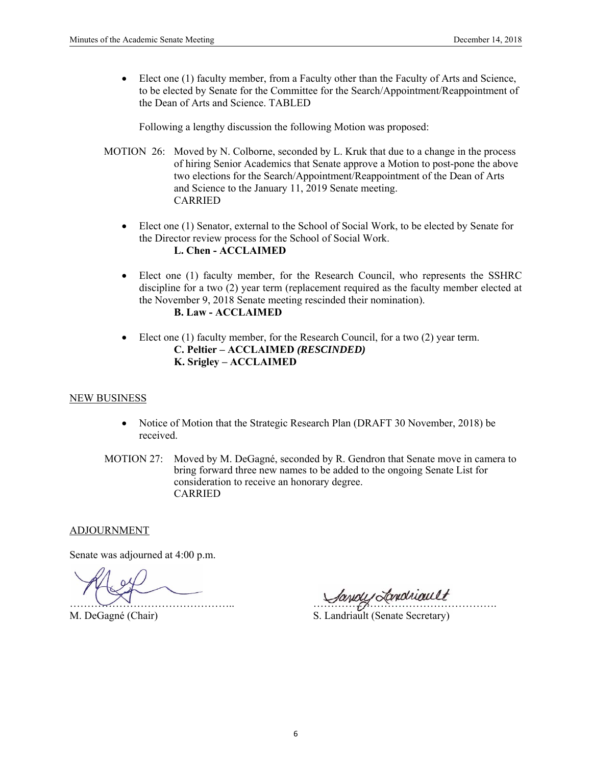Elect one (1) faculty member, from a Faculty other than the Faculty of Arts and Science, to be elected by Senate for the Committee for the Search/Appointment/Reappointment of the Dean of Arts and Science. TABLED

Following a lengthy discussion the following Motion was proposed:

- MOTION 26: Moved by N. Colborne, seconded by L. Kruk that due to a change in the process of hiring Senior Academics that Senate approve a Motion to post-pone the above two elections for the Search/Appointment/Reappointment of the Dean of Arts and Science to the January 11, 2019 Senate meeting. CARRIED
	- Elect one (1) Senator, external to the School of Social Work, to be elected by Senate for the Director review process for the School of Social Work. **L. Chen - ACCLAIMED**
	- Elect one (1) faculty member, for the Research Council, who represents the SSHRC discipline for a two (2) year term (replacement required as the faculty member elected at the November 9, 2018 Senate meeting rescinded their nomination).

# **B. Law - ACCLAIMED**

• Elect one (1) faculty member, for the Research Council, for a two (2) year term. **C. Peltier – ACCLAIMED** *(RESCINDED)* **K. Srigley – ACCLAIMED** 

#### NEW BUSINESS

- Notice of Motion that the Strategic Research Plan (DRAFT 30 November, 2018) be received.
- MOTION 27: Moved by M. DeGagné, seconded by R. Gendron that Senate move in camera to bring forward three new names to be added to the ongoing Senate List for consideration to receive an honorary degree. CARRIED

#### ADJOURNMENT

Senate was adjourned at 4:00 p.m.

 $\bigcup_{\mathcal{M}}$ 

M. DeGagné (Chair) S. Landriault (Senate Secretary)